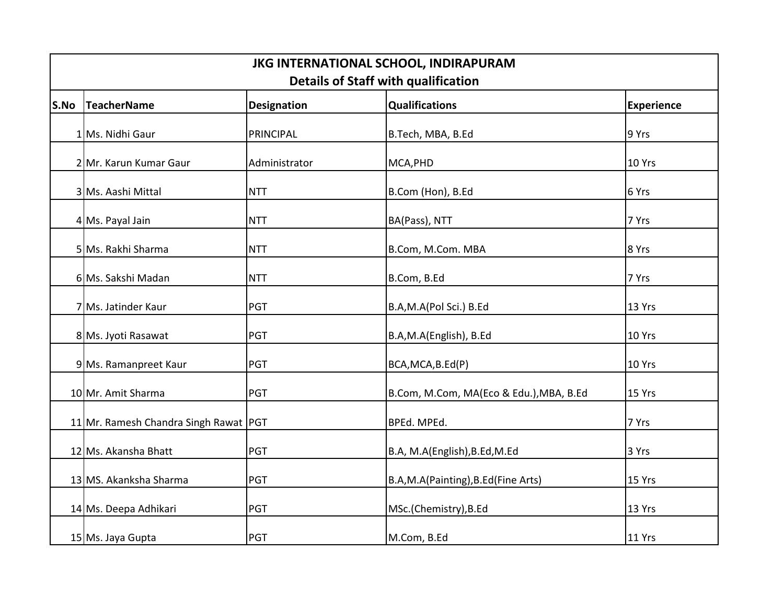| JKG INTERNATIONAL SCHOOL, INDIRAPURAM<br><b>Details of Staff with qualification</b> |                                       |                    |                                         |                   |  |  |
|-------------------------------------------------------------------------------------|---------------------------------------|--------------------|-----------------------------------------|-------------------|--|--|
| S.No                                                                                | TeacherName                           | <b>Designation</b> | <b>Qualifications</b>                   | <b>Experience</b> |  |  |
|                                                                                     | 1 Ms. Nidhi Gaur                      | <b>PRINCIPAL</b>   | B.Tech, MBA, B.Ed                       | 9 Yrs             |  |  |
|                                                                                     | 2 Mr. Karun Kumar Gaur                | Administrator      | MCA, PHD                                | 10 Yrs            |  |  |
|                                                                                     | 3 Ms. Aashi Mittal                    | <b>NTT</b>         | B.Com (Hon), B.Ed                       | 6 Yrs             |  |  |
|                                                                                     | 4 Ms. Payal Jain                      | <b>NTT</b>         | BA(Pass), NTT                           | 7 Yrs             |  |  |
|                                                                                     | 5 Ms. Rakhi Sharma                    | <b>NTT</b>         | B.Com, M.Com. MBA                       | 8 Yrs             |  |  |
|                                                                                     | 6 Ms. Sakshi Madan                    | <b>NTT</b>         | B.Com, B.Ed                             | 7 Yrs             |  |  |
|                                                                                     | 7 Ms. Jatinder Kaur                   | <b>PGT</b>         | B.A,M.A(Pol Sci.) B.Ed                  | 13 Yrs            |  |  |
|                                                                                     | 8 Ms. Jyoti Rasawat                   | <b>PGT</b>         | B.A,M.A(English), B.Ed                  | 10 Yrs            |  |  |
|                                                                                     | 9 Ms. Ramanpreet Kaur                 | PGT                | BCA, MCA, B.Ed(P)                       | 10 Yrs            |  |  |
|                                                                                     | 10 Mr. Amit Sharma                    | PGT                | B.Com, M.Com, MA(Eco & Edu.), MBA, B.Ed | 15 Yrs            |  |  |
|                                                                                     | 11 Mr. Ramesh Chandra Singh Rawat PGT |                    | BPEd. MPEd.                             | 7 Yrs             |  |  |
|                                                                                     | 12 Ms. Akansha Bhatt                  | PGT                | B.A, M.A(English), B.Ed, M.Ed           | 3 Yrs             |  |  |
|                                                                                     | 13 MS. Akanksha Sharma                | PGT                | B.A,M.A(Painting),B.Ed(Fine Arts)       | 15 Yrs            |  |  |
|                                                                                     | 14 Ms. Deepa Adhikari                 | <b>PGT</b>         | MSc.(Chemistry), B.Ed                   | 13 Yrs            |  |  |
|                                                                                     | 15 Ms. Jaya Gupta                     | PGT                | M.Com, B.Ed                             | 11 Yrs            |  |  |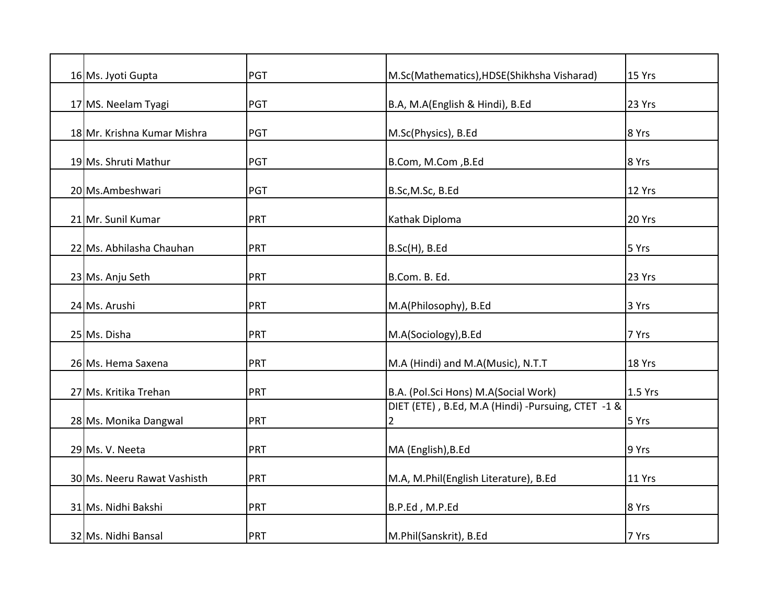| 16 Ms. Jyoti Gupta          | PGT | M.Sc(Mathematics), HDSE(Shikhsha Visharad)                           | 15 Yrs  |
|-----------------------------|-----|----------------------------------------------------------------------|---------|
| 17 MS. Neelam Tyagi         | PGT | B.A, M.A(English & Hindi), B.Ed                                      | 23 Yrs  |
| 18 Mr. Krishna Kumar Mishra | PGT | M.Sc(Physics), B.Ed                                                  | 8 Yrs   |
| 19 Ms. Shruti Mathur        | PGT | B.Com, M.Com, B.Ed                                                   | 8 Yrs   |
| 20 Ms.Ambeshwari            | PGT | B.Sc, M.Sc, B.Ed                                                     | 12 Yrs  |
| 21 Mr. Sunil Kumar          | PRT | Kathak Diploma                                                       | 20 Yrs  |
| 22 Ms. Abhilasha Chauhan    | PRT | B.Sc(H), B.Ed                                                        | 5 Yrs   |
| 23 Ms. Anju Seth            | PRT | B.Com. B. Ed.                                                        | 23 Yrs  |
| 24 Ms. Arushi               | PRT | M.A(Philosophy), B.Ed                                                | 3 Yrs   |
| 25 Ms. Disha                | PRT | M.A(Sociology), B.Ed                                                 | 7 Yrs   |
| 26 Ms. Hema Saxena          | PRT | M.A (Hindi) and M.A(Music), N.T.T                                    | 18 Yrs  |
| 27 Ms. Kritika Trehan       | PRT | B.A. (Pol.Sci Hons) M.A(Social Work)                                 | 1.5 Yrs |
| 28 Ms. Monika Dangwal       | PRT | DIET (ETE), B.Ed, M.A (Hindi) -Pursuing, CTET -1 &<br>$\overline{2}$ | 5 Yrs   |
| 29 Ms. V. Neeta             | PRT | MA (English), B.Ed                                                   | 9 Yrs   |
| 30 Ms. Neeru Rawat Vashisth | PRT | M.A, M.Phil(English Literature), B.Ed                                | 11 Yrs  |
| 31 Ms. Nidhi Bakshi         | PRT | B.P.Ed, M.P.Ed                                                       | 8 Yrs   |
| 32 Ms. Nidhi Bansal         | PRT | M.Phil(Sanskrit), B.Ed                                               | 7 Yrs   |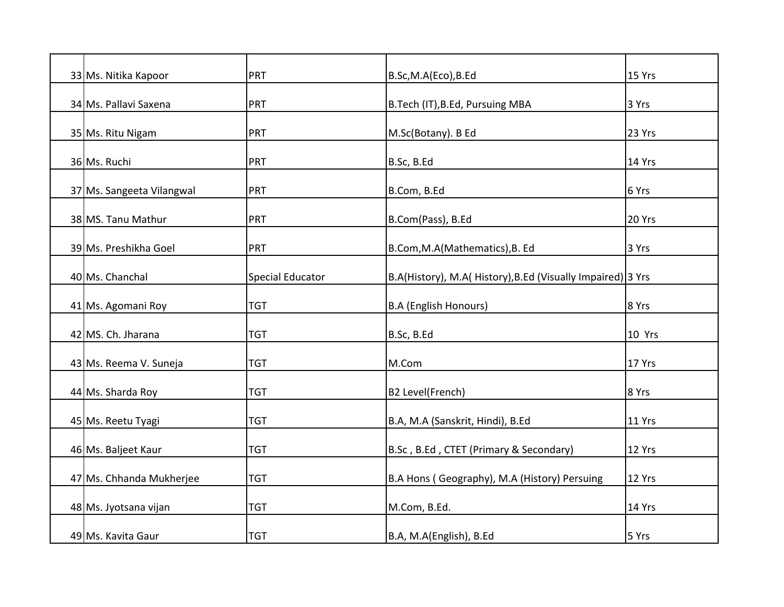| 33 Ms. Nitika Kapoor      | PRT                     | B.Sc,M.A(Eco),B.Ed                                          | 15 Yrs |
|---------------------------|-------------------------|-------------------------------------------------------------|--------|
| 34 Ms. Pallavi Saxena     | <b>PRT</b>              | B.Tech (IT), B.Ed, Pursuing MBA                             | 3 Yrs  |
| 35 Ms. Ritu Nigam         | PRT                     | M.Sc(Botany). B Ed                                          | 23 Yrs |
| 36 Ms. Ruchi              | <b>PRT</b>              | B.Sc, B.Ed                                                  | 14 Yrs |
| 37 Ms. Sangeeta Vilangwal | PRT                     | B.Com, B.Ed                                                 | 6 Yrs  |
| 38 MS. Tanu Mathur        | PRT                     | B.Com(Pass), B.Ed                                           | 20 Yrs |
| 39 Ms. Preshikha Goel     | <b>PRT</b>              | B.Com, M.A (Mathematics), B. Ed                             | 3 Yrs  |
| 40 Ms. Chanchal           | <b>Special Educator</b> | B.A(History), M.A( History), B.Ed (Visually Impaired) 3 Yrs |        |
| 41 Ms. Agomani Roy        | <b>TGT</b>              | <b>B.A (English Honours)</b>                                | 8 Yrs  |
| 42 MS. Ch. Jharana        | <b>TGT</b>              | B.Sc, B.Ed                                                  | 10 Yrs |
| 43 Ms. Reema V. Suneja    | <b>TGT</b>              | M.Com                                                       | 17 Yrs |
| 44 Ms. Sharda Roy         | <b>TGT</b>              | B2 Level(French)                                            | 8 Yrs  |
| 45 Ms. Reetu Tyagi        | <b>TGT</b>              | B.A, M.A (Sanskrit, Hindi), B.Ed                            | 11 Yrs |
| 46 Ms. Baljeet Kaur       | <b>TGT</b>              | B.Sc, B.Ed, CTET (Primary & Secondary)                      | 12 Yrs |
| 47 Ms. Chhanda Mukherjee  | <b>TGT</b>              | B.A Hons (Geography), M.A (History) Persuing                | 12 Yrs |
| 48 Ms. Jyotsana vijan     | <b>TGT</b>              | M.Com, B.Ed.                                                | 14 Yrs |
| 49 Ms. Kavita Gaur        | <b>TGT</b>              | B.A, M.A(English), B.Ed                                     | 5 Yrs  |